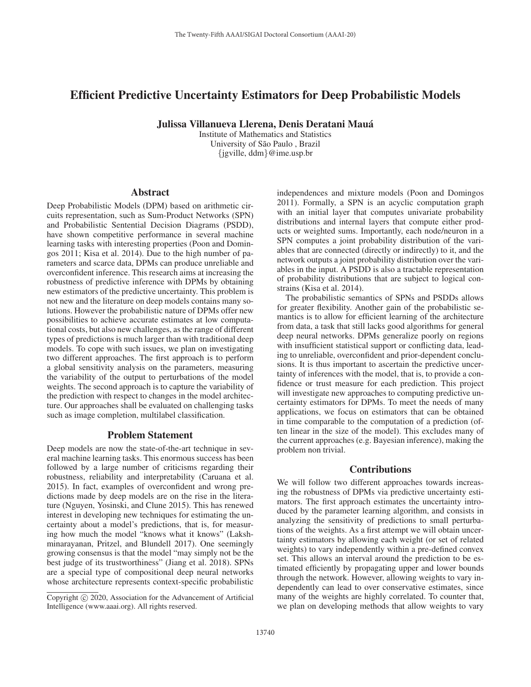# Efficient Predictive Uncertainty Estimators for Deep Probabilistic Models

Julissa Villanueva Llerena, Denis Deratani Maua´

Institute of Mathematics and Statistics University of São Paulo, Brazil {jgville, ddm}@ime.usp.br

## Abstract

Deep Probabilistic Models (DPM) based on arithmetic circuits representation, such as Sum-Product Networks (SPN) and Probabilistic Sentential Decision Diagrams (PSDD), have shown competitive performance in several machine learning tasks with interesting properties (Poon and Domingos 2011; Kisa et al. 2014). Due to the high number of parameters and scarce data, DPMs can produce unreliable and overconfident inference. This research aims at increasing the robustness of predictive inference with DPMs by obtaining new estimators of the predictive uncertainty. This problem is not new and the literature on deep models contains many solutions. However the probabilistic nature of DPMs offer new possibilities to achieve accurate estimates at low computational costs, but also new challenges, as the range of different types of predictions is much larger than with traditional deep models. To cope with such issues, we plan on investigating two different approaches. The first approach is to perform a global sensitivity analysis on the parameters, measuring the variability of the output to perturbations of the model weights. The second approach is to capture the variability of the prediction with respect to changes in the model architecture. Our approaches shall be evaluated on challenging tasks such as image completion, multilabel classification.

# Problem Statement

Deep models are now the state-of-the-art technique in several machine learning tasks. This enormous success has been followed by a large number of criticisms regarding their robustness, reliability and interpretability (Caruana et al. 2015). In fact, examples of overconfident and wrong predictions made by deep models are on the rise in the literature (Nguyen, Yosinski, and Clune 2015). This has renewed interest in developing new techniques for estimating the uncertainty about a model's predictions, that is, for measuring how much the model "knows what it knows" (Lakshminarayanan, Pritzel, and Blundell 2017). One seemingly growing consensus is that the model "may simply not be the best judge of its trustworthiness" (Jiang et al. 2018). SPNs are a special type of compositional deep neural networks whose architecture represents context-specific probabilistic independences and mixture models (Poon and Domingos 2011). Formally, a SPN is an acyclic computation graph with an initial layer that computes univariate probability distributions and internal layers that compute either products or weighted sums. Importantly, each node/neuron in a SPN computes a joint probability distribution of the variables that are connected (directly or indirectly) to it, and the network outputs a joint probability distribution over the variables in the input. A PSDD is also a tractable representation of probability distributions that are subject to logical constrains (Kisa et al. 2014).

The probabilistic semantics of SPNs and PSDDs allows for greater flexibility. Another gain of the probabilistic semantics is to allow for efficient learning of the architecture from data, a task that still lacks good algorithms for general deep neural networks. DPMs generalize poorly on regions with insufficient statistical support or conflicting data, leading to unreliable, overconfident and prior-dependent conclusions. It is thus important to ascertain the predictive uncertainty of inferences with the model, that is, to provide a confidence or trust measure for each prediction. This project will investigate new approaches to computing predictive uncertainty estimators for DPMs. To meet the needs of many applications, we focus on estimators that can be obtained in time comparable to the computation of a prediction (often linear in the size of the model). This excludes many of the current approaches (e.g. Bayesian inference), making the problem non trivial.

# **Contributions**

We will follow two different approaches towards increasing the robustness of DPMs via predictive uncertainty estimators. The first approach estimates the uncertainty introduced by the parameter learning algorithm, and consists in analyzing the sensitivity of predictions to small perturbations of the weights. As a first attempt we will obtain uncertainty estimators by allowing each weight (or set of related weights) to vary independently within a pre-defined convex set. This allows an interval around the prediction to be estimated efficiently by propagating upper and lower bounds through the network. However, allowing weights to vary independently can lead to over conservative estimates, since many of the weights are highly correlated. To counter that, we plan on developing methods that allow weights to vary

Copyright  $\odot$  2020, Association for the Advancement of Artificial Intelligence (www.aaai.org). All rights reserved.